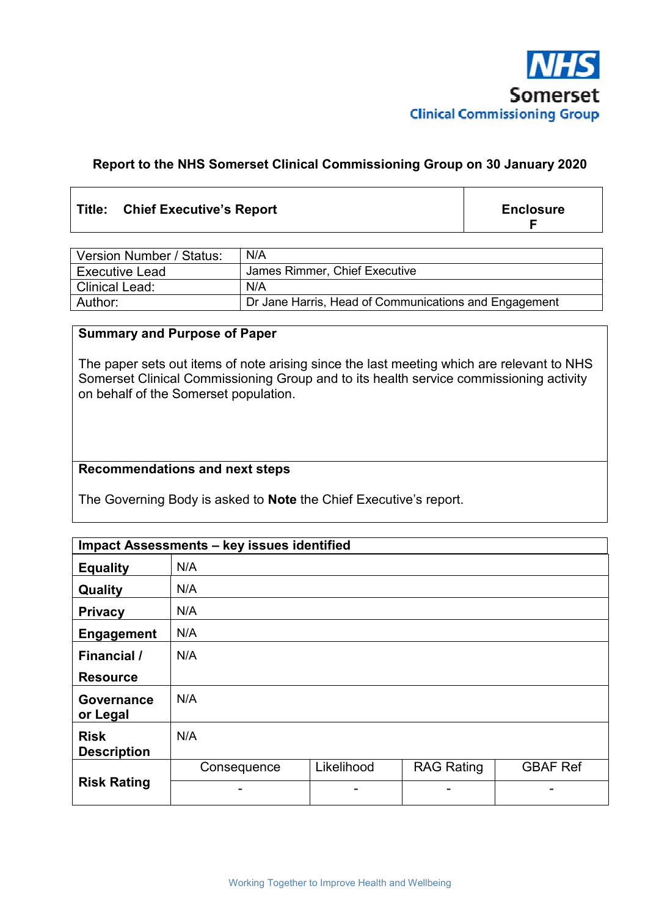

## **Report to the NHS Somerset Clinical Commissioning Group on 30 January 2020**

## Title: Chief Executive's Report **Enclosure Enclosure**

**F** 

| Version Number / Status: | N/A                                                   |
|--------------------------|-------------------------------------------------------|
| <b>Executive Lead</b>    | James Rimmer, Chief Executive                         |
| <b>Clinical Lead:</b>    | N/A                                                   |
| Author:                  | Dr Jane Harris, Head of Communications and Engagement |

### **Summary and Purpose of Paper**

The paper sets out items of note arising since the last meeting which are relevant to NHS Somerset Clinical Commissioning Group and to its health service commissioning activity on behalf of the Somerset population.

## **Recommendations and next steps**

The Governing Body is asked to **Note** the Chief Executive's report.

| Impact Assessments - key issues identified |             |            |                   |                 |
|--------------------------------------------|-------------|------------|-------------------|-----------------|
| <b>Equality</b>                            | N/A         |            |                   |                 |
| Quality                                    | N/A         |            |                   |                 |
| <b>Privacy</b>                             | N/A         |            |                   |                 |
| <b>Engagement</b>                          | N/A         |            |                   |                 |
| Financial /                                | N/A         |            |                   |                 |
| <b>Resource</b>                            |             |            |                   |                 |
| <b>Governance</b><br>or Legal              | N/A         |            |                   |                 |
| <b>Risk</b><br><b>Description</b>          | N/A         |            |                   |                 |
|                                            | Consequence | Likelihood | <b>RAG Rating</b> | <b>GBAF Ref</b> |
| <b>Risk Rating</b>                         | -           | -          | ۰                 |                 |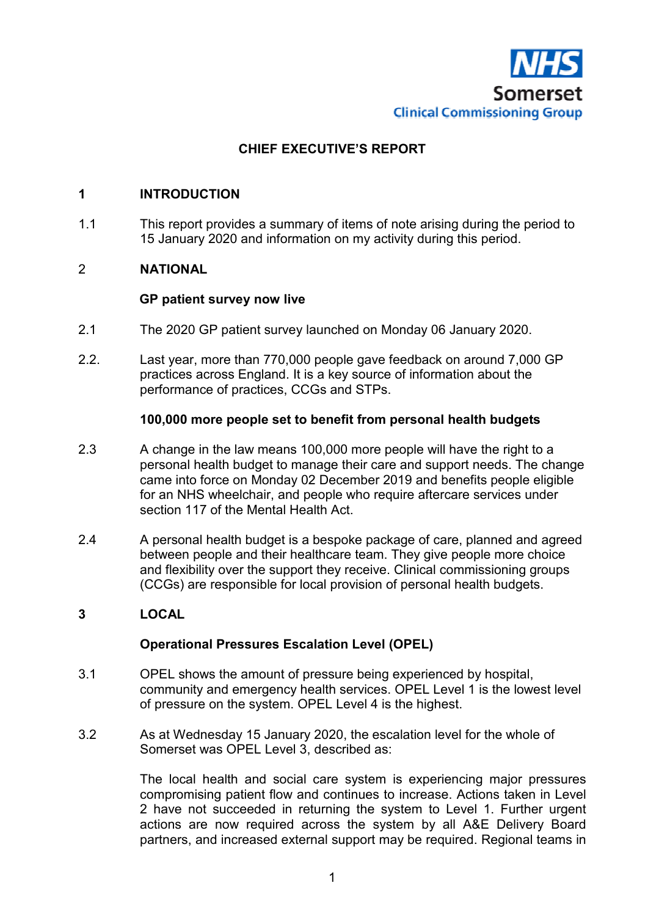

# **CHIEF EXECUTIVE'S REPORT**

## **1 INTRODUCTION**

1.1 This report provides a summary of items of note arising during the period to 15 January 2020 and information on my activity during this period.

## 2 **NATIONAL**

### **GP patient survey now live**

- 2.1 The 2020 GP patient survey launched on Monday 06 January 2020.
- 2.2. Last year, more than 770,000 people gave feedback on around 7,000 GP practices across England. It is a key source of information about the performance of practices, CCGs and STPs.

### **100,000 more people set to benefit from personal health budgets**

- 2.3 A change in the law means 100,000 more people will have the right to a personal health budget to manage their care and support needs. The change came into force on Monday 02 December 2019 and benefits people eligible for an NHS wheelchair, and people who require aftercare services under section 117 of the Mental Health Act.
- 2.4 A personal health budget is a bespoke package of care, planned and agreed between people and their healthcare team. They give people more choice and flexibility over the support they receive. Clinical commissioning groups (CCGs) are responsible for local provision of personal health budgets.

#### **3 LOCAL**

## **Operational Pressures Escalation Level (OPEL)**

- 3.1 OPEL shows the amount of pressure being experienced by hospital, community and emergency health services. OPEL Level 1 is the lowest level of pressure on the system. OPEL Level 4 is the highest.
- 3.2 As at Wednesday 15 January 2020, the escalation level for the whole of Somerset was OPEL Level 3, described as:

The local health and social care system is experiencing major pressures compromising patient flow and continues to increase. Actions taken in Level 2 have not succeeded in returning the system to Level 1. Further urgent actions are now required across the system by all A&E Delivery Board partners, and increased external support may be required. Regional teams in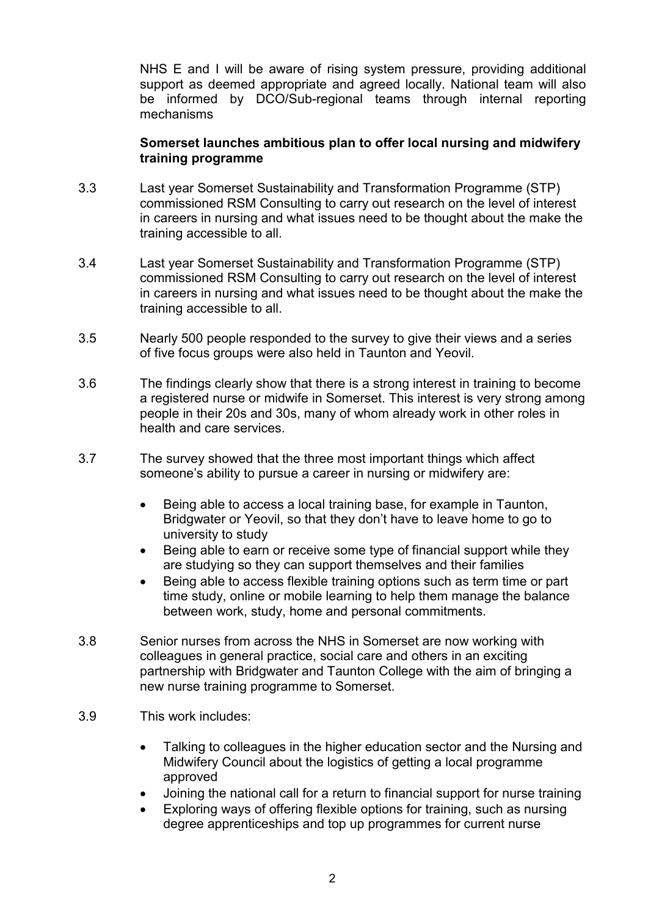NHS E and I will be aware of rising system pressure, providing additional support as deemed appropriate and agreed locally. National team will also be informed by DCO/Sub-regional teams through internal reporting mechanisms

## **Somerset launches ambitious plan to offer local nursing and midwifery training programme**

- 3.3 Last year Somerset Sustainability and Transformation Programme (STP) commissioned RSM Consulting to carry out research on the level of interest in careers in nursing and what issues need to be thought about the make the training accessible to all.
- 3.4 Last year Somerset Sustainability and Transformation Programme (STP) commissioned RSM Consulting to carry out research on the level of interest in careers in nursing and what issues need to be thought about the make the training accessible to all.
- 3.5 Nearly 500 people responded to the survey to give their views and a series of five focus groups were also held in Taunton and Yeovil.
- 3.6 The findings clearly show that there is a strong interest in training to become a registered nurse or midwife in Somerset. This interest is very strong among people in their 20s and 30s, many of whom already work in other roles in health and care services.
- 3.7 The survey showed that the three most important things which affect someone's ability to pursue a career in nursing or midwifery are:
	- Being able to access a local training base, for example in Taunton, Bridgwater or Yeovil, so that they don't have to leave home to go to university to study
	- Being able to earn or receive some type of financial support while they are studying so they can support themselves and their families
	- Being able to access flexible training options such as term time or part time study, online or mobile learning to help them manage the balance between work, study, home and personal commitments.
- 3.8 Senior nurses from across the NHS in Somerset are now working with colleagues in general practice, social care and others in an exciting partnership with Bridgwater and Taunton College with the aim of bringing a new nurse training programme to Somerset.
- 3.9 This work includes:
	- Talking to colleagues in the higher education sector and the Nursing and Midwifery Council about the logistics of getting a local programme approved
	- Joining the national call for a return to financial support for nurse training
	- Exploring ways of offering flexible options for training, such as nursing degree apprenticeships and top up programmes for current nurse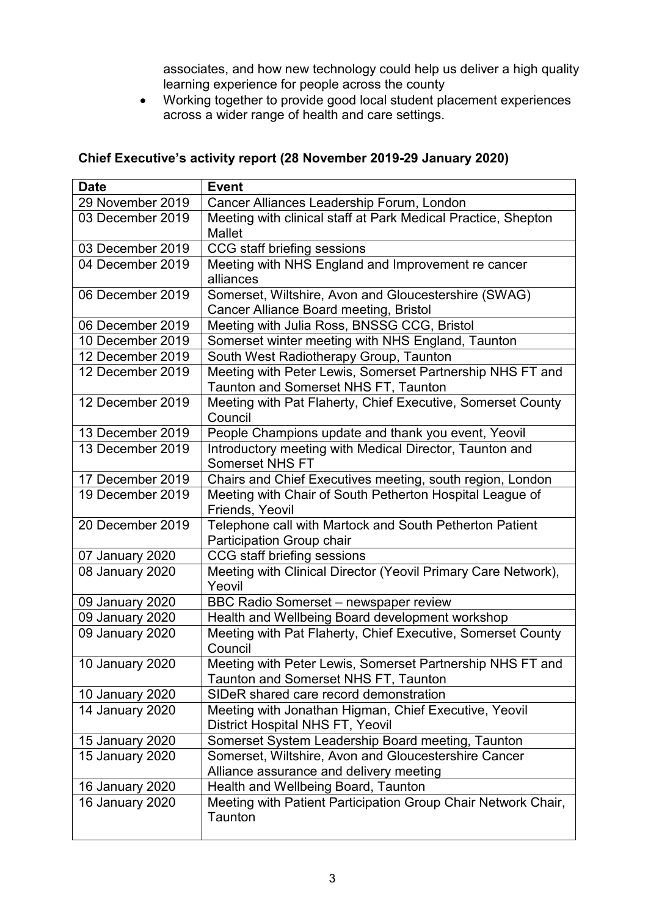associates, and how new technology could help us deliver a high quality learning experience for people across the county

• Working together to provide good local student placement experiences across a wider range of health and care settings.

## **Chief Executive's activity report (28 November 2019-29 January 2020)**

| <b>Date</b>            | <b>Event</b>                                                                                             |
|------------------------|----------------------------------------------------------------------------------------------------------|
| 29 November 2019       | Cancer Alliances Leadership Forum, London                                                                |
| 03 December 2019       | Meeting with clinical staff at Park Medical Practice, Shepton<br><b>Mallet</b>                           |
| 03 December 2019       | CCG staff briefing sessions                                                                              |
| 04 December 2019       | Meeting with NHS England and Improvement re cancer<br>alliances                                          |
| 06 December 2019       | Somerset, Wiltshire, Avon and Gloucestershire (SWAG)<br>Cancer Alliance Board meeting, Bristol           |
| 06 December 2019       | Meeting with Julia Ross, BNSSG CCG, Bristol                                                              |
| 10 December 2019       | Somerset winter meeting with NHS England, Taunton                                                        |
| 12 December 2019       | South West Radiotherapy Group, Taunton                                                                   |
| 12 December 2019       | Meeting with Peter Lewis, Somerset Partnership NHS FT and<br><b>Taunton and Somerset NHS FT, Taunton</b> |
| 12 December 2019       | Meeting with Pat Flaherty, Chief Executive, Somerset County<br>Council                                   |
| 13 December 2019       | People Champions update and thank you event, Yeovil                                                      |
| 13 December 2019       | Introductory meeting with Medical Director, Taunton and<br><b>Somerset NHS FT</b>                        |
| 17 December 2019       | Chairs and Chief Executives meeting, south region, London                                                |
| 19 December 2019       | Meeting with Chair of South Petherton Hospital League of<br>Friends, Yeovil                              |
| 20 December 2019       | Telephone call with Martock and South Petherton Patient<br>Participation Group chair                     |
| 07 January 2020        | CCG staff briefing sessions                                                                              |
| 08 January 2020        | Meeting with Clinical Director (Yeovil Primary Care Network),<br>Yeovil                                  |
| 09 January 2020        | <b>BBC Radio Somerset - newspaper review</b>                                                             |
| 09 January 2020        | Health and Wellbeing Board development workshop                                                          |
| 09 January 2020        | Meeting with Pat Flaherty, Chief Executive, Somerset County<br>Council                                   |
| <b>10 January 2020</b> | Meeting with Peter Lewis, Somerset Partnership NHS FT and<br>Taunton and Somerset NHS FT, Taunton        |
| <b>10 January 2020</b> | SIDeR shared care record demonstration                                                                   |
| <b>14 January 2020</b> | Meeting with Jonathan Higman, Chief Executive, Yeovil<br><b>District Hospital NHS FT, Yeovil</b>         |
| <b>15 January 2020</b> | Somerset System Leadership Board meeting, Taunton                                                        |
| 15 January 2020        | Somerset, Wiltshire, Avon and Gloucestershire Cancer<br>Alliance assurance and delivery meeting          |
| <b>16 January 2020</b> | Health and Wellbeing Board, Taunton                                                                      |
| 16 January 2020        | Meeting with Patient Participation Group Chair Network Chair,<br>Taunton                                 |